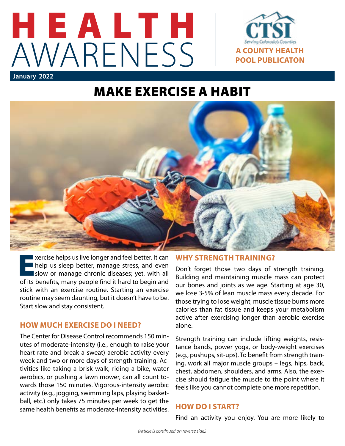

## MAKE EXERCISE A HABIT



Exercise helps us live longer and feel better. It can<br>help us sleep better, manage stress, and even<br>slow or manage chronic diseases; yet, with all<br>of its bonofits many poople find it bard to bogin and help us sleep better, manage stress, and even slow or manage chronic diseases; yet, with all of its benefits, many people find it hard to begin and stick with an exercise routine. Starting an exercise routine may seem daunting, but it doesn't have to be. Start slow and stay consistent.

#### **HOW MUCH EXERCISE DO I NEED?**

The Center for Disease Control recommends 150 minutes of moderate-intensity (i.e., enough to raise your heart rate and break a sweat) aerobic activity every week and two or more days of strength training. Activities like taking a brisk walk, riding a bike, water aerobics, or pushing a lawn mower, can all count towards those 150 minutes. Vigorous-intensity aerobic activity (e.g., jogging, swimming laps, playing basketball, etc.) only takes 75 minutes per week to get the same health benefits as moderate-intensity activities.

#### **WHY STRENGTH TRAINING?**

Don't forget those two days of strength training. Building and maintaining muscle mass can protect our bones and joints as we age. Starting at age 30, we lose 3-5% of lean muscle mass every decade. For those trying to lose weight, muscle tissue burns more calories than fat tissue and keeps your metabolism active after exercising longer than aerobic exercise alone.

Strength training can include lifting weights, resistance bands, power yoga, or body-weight exercises (e.g., pushups, sit-ups). To benefit from strength training, work all major muscle groups – legs, hips, back, chest, abdomen, shoulders, and arms. Also, the exercise should fatigue the muscle to the point where it feels like you cannot complete one more repetition.

#### **HOW DO I START?**

Find an activity you enjoy. You are more likely to